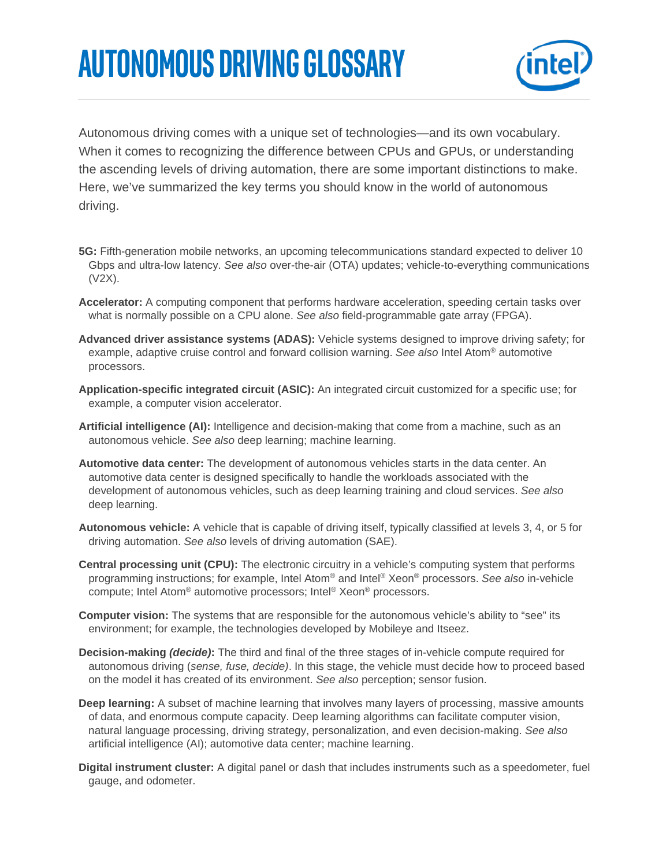## **autonomous driving Glossary**



Autonomous driving comes with a unique set of technologies—and its own vocabulary. When it comes to recognizing the difference between CPUs and GPUs, or understanding the ascending levels of driving automation, there are some important distinctions to make. Here, we've summarized the key terms you should know in the world of autonomous driving.

- **5G:** Fifth-generation mobile networks, an upcoming telecommunications standard expected to deliver 10 Gbps and ultra-low latency. *See also* over-the-air (OTA) updates; vehicle-to-everything communications (V2X).
- **Accelerator:** A computing component that performs hardware acceleration, speeding certain tasks over what is normally possible on a CPU alone. *See also* field-programmable gate array (FPGA).
- **Advanced driver assistance systems (ADAS):** Vehicle systems designed to improve driving safety; for example, adaptive cruise control and forward collision warning. *See also* Intel Atom® automotive processors.
- **Application-specific integrated circuit (ASIC):** An integrated circuit customized for a specific use; for example, a computer vision accelerator.
- **Artificial intelligence (AI):** Intelligence and decision-making that come from a machine, such as an autonomous vehicle. *See also* deep learning; machine learning.
- **Automotive data center:** The development of autonomous vehicles starts in the data center. An automotive data center is designed specifically to handle the workloads associated with the development of autonomous vehicles, such as deep learning training and cloud services. *See also*  deep learning.
- **Autonomous vehicle:** A vehicle that is capable of driving itself, typically classified at levels 3, 4, or 5 for driving automation. *See also* levels of driving automation (SAE).
- **Central processing unit (CPU):** The electronic circuitry in a vehicle's computing system that performs programming instructions; for example, Intel Atom® and Intel® Xeon® processors. *See also* in-vehicle compute; Intel Atom® automotive processors; Intel® Xeon® processors.
- **Computer vision:** The systems that are responsible for the autonomous vehicle's ability to "see" its environment; for example, the technologies developed by Mobileye and Itseez.
- **Decision-making** *(decide)***:** The third and final of the three stages of in-vehicle compute required for autonomous driving (*sense, fuse, decide)*. In this stage, the vehicle must decide how to proceed based on the model it has created of its environment. *See also* perception; sensor fusion.
- **Deep learning:** A subset of machine learning that involves many layers of processing, massive amounts of data, and enormous compute capacity. Deep learning algorithms can facilitate computer vision, natural language processing, driving strategy, personalization, and even decision-making. *See also*  artificial intelligence (AI); automotive data center; machine learning.
- **Digital instrument cluster:** A digital panel or dash that includes instruments such as a speedometer, fuel gauge, and odometer.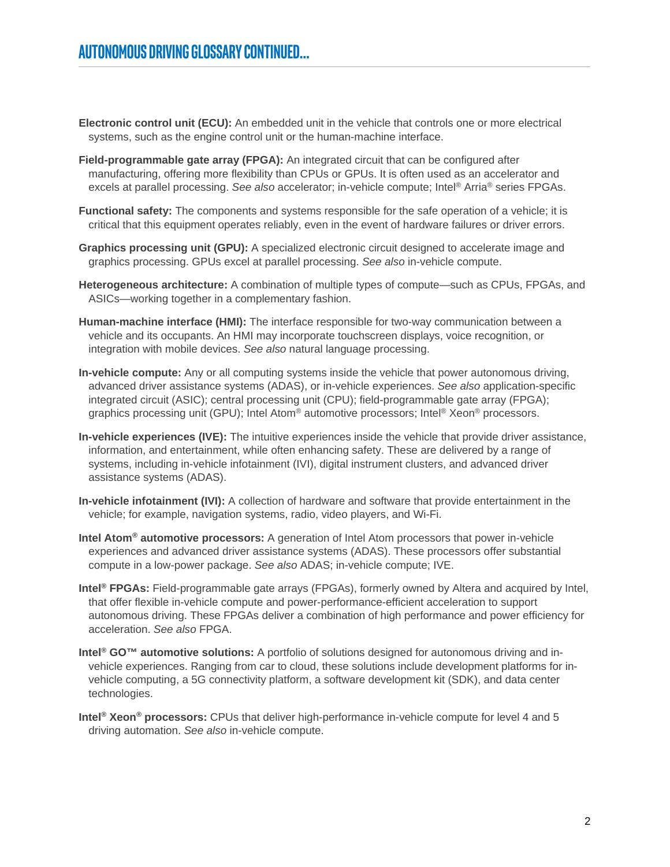- **Electronic control unit (ECU):** An embedded unit in the vehicle that controls one or more electrical systems, such as the engine control unit or the human-machine interface.
- **Field-programmable gate array (FPGA):** An integrated circuit that can be configured after manufacturing, offering more flexibility than CPUs or GPUs. It is often used as an accelerator and excels at parallel processing. *See also* accelerator; in-vehicle compute; Intel® Arria® series FPGAs.
- **Functional safety:** The components and systems responsible for the safe operation of a vehicle; it is critical that this equipment operates reliably, even in the event of hardware failures or driver errors.
- **Graphics processing unit (GPU):** A specialized electronic circuit designed to accelerate image and graphics processing. GPUs excel at parallel processing. *See also* in-vehicle compute.
- **Heterogeneous architecture:** A combination of multiple types of compute—such as CPUs, FPGAs, and ASICs—working together in a complementary fashion.
- **Human-machine interface (HMI):** The interface responsible for two-way communication between a vehicle and its occupants. An HMI may incorporate touchscreen displays, voice recognition, or integration with mobile devices. *See also* natural language processing.
- **In-vehicle compute:** Any or all computing systems inside the vehicle that power autonomous driving, advanced driver assistance systems (ADAS), or in-vehicle experiences. *See also* application-specific integrated circuit (ASIC); central processing unit (CPU); field-programmable gate array (FPGA); graphics processing unit (GPU); Intel Atom® automotive processors; Intel® Xeon® processors.
- **In-vehicle experiences (IVE):** The intuitive experiences inside the vehicle that provide driver assistance, information, and entertainment, while often enhancing safety. These are delivered by a range of systems, including in-vehicle infotainment (IVI), digital instrument clusters, and advanced driver assistance systems (ADAS).
- **In-vehicle infotainment (IVI):** A collection of hardware and software that provide entertainment in the vehicle; for example, navigation systems, radio, video players, and Wi-Fi.
- **Intel Atom® automotive processors:** A generation of Intel Atom processors that power in-vehicle experiences and advanced driver assistance systems (ADAS). These processors offer substantial compute in a low-power package. *See also* ADAS; in-vehicle compute; IVE.
- **Intel® FPGAs:** Field-programmable gate arrays (FPGAs), formerly owned by Altera and acquired by Intel, that offer flexible in-vehicle compute and power-performance-efficient acceleration to support autonomous driving. These FPGAs deliver a combination of high performance and power efficiency for acceleration. *See also* FPGA.
- **Intel® GO™ automotive solutions:** A portfolio of solutions designed for autonomous driving and invehicle experiences. Ranging from car to cloud, these solutions include development platforms for invehicle computing, a 5G connectivity platform, a software development kit (SDK), and data center technologies.
- **Intel® Xeon® processors:** CPUs that deliver high-performance in-vehicle compute for level 4 and 5 driving automation. *See also* in-vehicle compute.